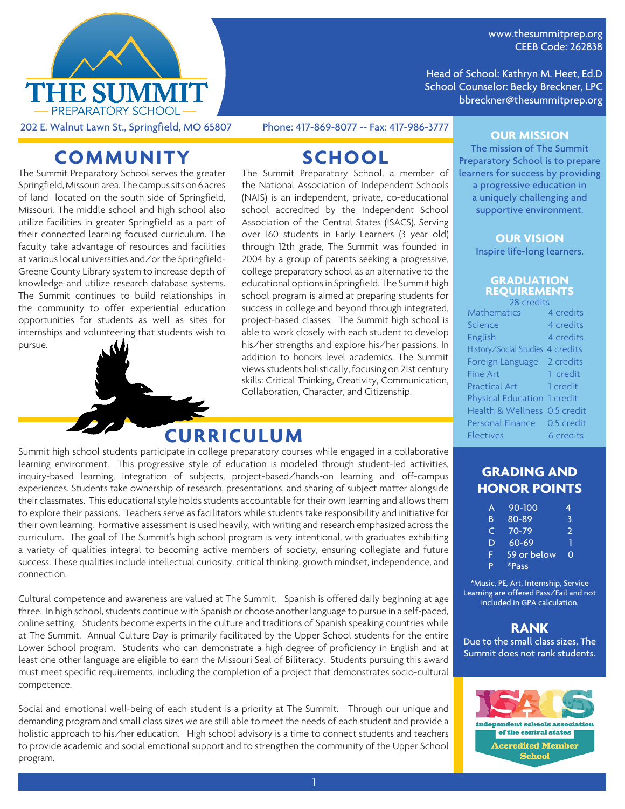

www.thesummitprep.org CEEB Code: 262838

Head of School: Kathryn M. Heet, Ed.D School Counselor: Becky Breckner, LPC bbreckner@thesummitprep.org

202 E. Walnut Lawn St., Springfield, MO 65807 Phone: 417-869-8077 -- Fax: 417-986-3777

## **COMMUNITY**

The Summit Preparatory School serves the greater Springfield, Missouri area. The campus sits on 6 acres of land located on the south side of Springfield, Missouri. The middle school and high school also utilize facilities in greater Springfield as a part of their connected learning focused curriculum. The faculty take advantage of resources and facilities at various local universities and/or the Springfield-Greene County Library system to increase depth of knowledge and utilize research database systems. The Summit continues to build relationships in the community to offer experiential education opportunities for students as well as sites for internships and volunteering that students wish to pursue.

# **SCHOOL**

The Summit Preparatory School, a member of the National Association of Independent Schools (NAIS) is an independent, private, co-educational school accredited by the Independent School Association of the Central States (ISACS). Serving over 160 students in Early Learners (3 year old) through 12th grade, The Summit was founded in 2004 by a group of parents seeking a progressive, college preparatory school as an alternative to the educational options in Springfield. The Summit high school program is aimed at preparing students for success in college and beyond through integrated, project-based classes. The Summit high school is able to work closely with each student to develop his/her strengths and explore his/her passions. In addition to honors level academics, The Summit views students holistically, focusing on 21st century skills: Critical Thinking, Creativity, Communication, Collaboration, Character, and Citizenship.

## **CURRICULUM**

Summit high school students participate in college preparatory courses while engaged in a collaborative learning environment. This progressive style of education is modeled through student-led activities, inquiry-based learning, integration of subjects, project-based/hands-on learning and off-campus experiences. Students take ownership of research, presentations, and sharing of subject matter alongside their classmates. This educational style holds students accountable for their own learning and allows them to explore their passions. Teachers serve as facilitators while students take responsibility and initiative for their own learning. Formative assessment is used heavily, with writing and research emphasized across the curriculum. The goal of The Summit's high school program is very intentional, with graduates exhibiting a variety of qualities integral to becoming active members of society, ensuring collegiate and future success. These qualities include intellectual curiosity, critical thinking, growth mindset, independence, and connection.

Cultural competence and awareness are valued at The Summit. Spanish is offered daily beginning at age three. In high school, students continue with Spanish or choose another language to pursue in a self-paced, online setting. Students become experts in the culture and traditions of Spanish speaking countries while at The Summit. Annual Culture Day is primarily facilitated by the Upper School students for the entire Lower School program. Students who can demonstrate a high degree of proficiency in English and at least one other language are eligible to earn the Missouri Seal of Biliteracy. Students pursuing this award must meet specific requirements, including the completion of a project that demonstrates socio-cultural competence.

Social and emotional well-being of each student is a priority at The Summit. Through our unique and demanding program and small class sizes we are still able to meet the needs of each student and provide a holistic approach to his/her education. High school advisory is a time to connect students and teachers to provide academic and social emotional support and to strengthen the community of the Upper School program.

#### **OUR MISSION**

The mission of The Summit Preparatory School is to prepare learners for success by providing a progressive education in a uniquely challenging and supportive environment.

> **OUR VISION** Inspire life-long learners.

#### **GRADUATION REQUIREMENTS** 28 credits

| Mathematics                      | 4 credits  |
|----------------------------------|------------|
| Science                          | 4 credits  |
| English                          | 4 credits  |
| History/Social Studies 4 credits |            |
| Foreign Language                 | 2 credits  |
| <b>Fine Art</b>                  | 1 credit   |
| <b>Practical Art</b>             | 1 credit   |
| Physical Education 1 credit      |            |
| Health & Wellness 0.5 credit     |            |
| <b>Personal Finance</b>          | 0.5 credit |
| Electives                        | 6 credits  |

#### **GRADING AND HONOR POINTS**

| A  | 90-100      | 4        |
|----|-------------|----------|
| B  | 80-89       | ß,       |
| C. | $70 - 79$   | 2        |
| D  | $60 - 69$   | ٦        |
| F  | 59 or below | $\Omega$ |
| P  | *Pass       |          |

\*Music, PE, Art, Internship, Service Learning are offered Pass/Fail and not included in GPA calculation.

#### **RANK**

Due to the small class sizes, The Summit does not rank students.